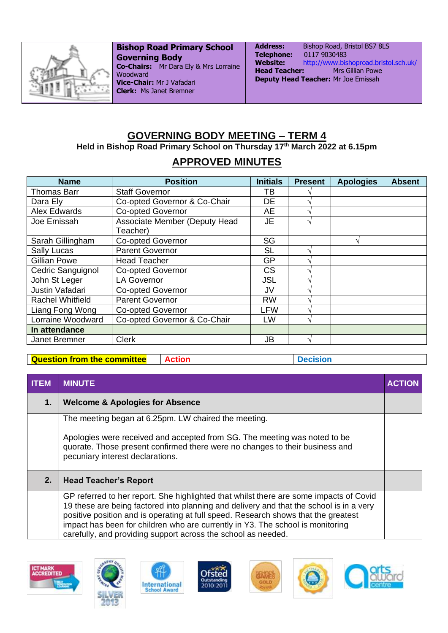

**Bishop Road Primary School Governing Body Co-Chairs:** Mr Dara Ely & Mrs Lorraine Woodward **Vice-Chair:** Mr J Vafadari **Clerk:** Ms Janet Bremner

Address: Bishop Road, Bristol BS7 8LS **Telephone:** 0117 9030483 **Website:** <http://www.bishoproad.bristol.sch.uk/> **Head Teacher:** Mrs Gillian Powe **Deputy Head Teacher:** Mr Joe Emissah

## **GOVERNING BODY MEETING – TERM 4**

**Held in Bishop Road Primary School on Thursday 17th March 2022 at 6.15pm** 

## **APPROVED MINUTES**

| <b>Name</b>             | <b>Position</b>               | <b>Initials</b> | <b>Present</b>    | <b>Apologies</b> | <b>Absent</b> |
|-------------------------|-------------------------------|-----------------|-------------------|------------------|---------------|
| <b>Thomas Barr</b>      | <b>Staff Governor</b>         | ΤВ              |                   |                  |               |
| Dara Ely                | Co-opted Governor & Co-Chair  | DE              |                   |                  |               |
| <b>Alex Edwards</b>     | <b>Co-opted Governor</b>      | AE              |                   |                  |               |
| Joe Emissah             | Associate Member (Deputy Head | <b>JE</b>       | $\mathbf{\hat{}}$ |                  |               |
|                         | Teacher)                      |                 |                   |                  |               |
| Sarah Gillingham        | Co-opted Governor             | SG              |                   | اد               |               |
| <b>Sally Lucas</b>      | <b>Parent Governor</b>        | <b>SL</b>       | $\mathbf \Lambda$ |                  |               |
| Gillian Powe            | <b>Head Teacher</b>           | <b>GP</b>       | $\triangleleft$   |                  |               |
| Cedric Sanguignol       | <b>Co-opted Governor</b>      | <b>CS</b>       |                   |                  |               |
| John St Leger           | <b>LA Governor</b>            | <b>JSL</b>      |                   |                  |               |
| Justin Vafadari         | <b>Co-opted Governor</b>      | <b>JV</b>       |                   |                  |               |
| <b>Rachel Whitfield</b> | <b>Parent Governor</b>        | <b>RW</b>       |                   |                  |               |
| Liang Fong Wong         | <b>Co-opted Governor</b>      | LFW             | $\triangle$       |                  |               |
| Lorraine Woodward       | Co-opted Governor & Co-Chair  | LW              | $\Delta$          |                  |               |
| In attendance           |                               |                 |                   |                  |               |
| Janet Bremner           | <b>Clerk</b>                  | JB              |                   |                  |               |

**Question from the committee** Action **Action Action Decision** 

| <b>ITEM</b> | <b>MINUTE</b>                                                                                                                                                                                                                                                                                                                                                                                                              | <b>ACTION</b> |
|-------------|----------------------------------------------------------------------------------------------------------------------------------------------------------------------------------------------------------------------------------------------------------------------------------------------------------------------------------------------------------------------------------------------------------------------------|---------------|
| 1.          | <b>Welcome &amp; Apologies for Absence</b>                                                                                                                                                                                                                                                                                                                                                                                 |               |
|             | The meeting began at 6.25pm. LW chaired the meeting.<br>Apologies were received and accepted from SG. The meeting was noted to be<br>quorate. Those present confirmed there were no changes to their business and<br>pecuniary interest declarations.                                                                                                                                                                      |               |
| 2.          | <b>Head Teacher's Report</b>                                                                                                                                                                                                                                                                                                                                                                                               |               |
|             | GP referred to her report. She highlighted that whilst there are some impacts of Covid<br>19 these are being factored into planning and delivery and that the school is in a very<br>positive position and is operating at full speed. Research shows that the greatest<br>impact has been for children who are currently in Y3. The school is monitoring<br>carefully, and providing support across the school as needed. |               |











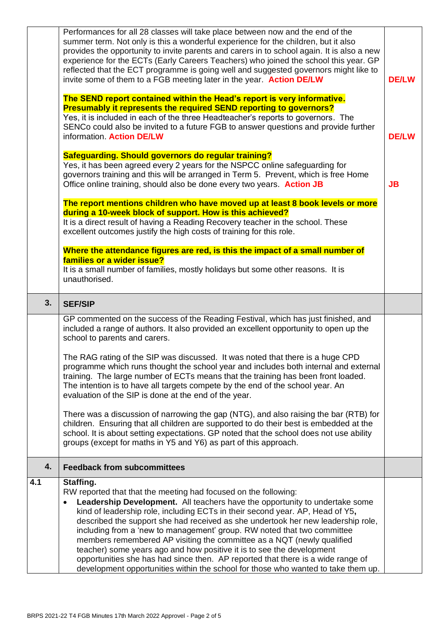|     | Performances for all 28 classes will take place between now and the end of the<br>summer term. Not only is this a wonderful experience for the children, but it also<br>provides the opportunity to invite parents and carers in to school again. It is also a new<br>experience for the ECTs (Early Careers Teachers) who joined the school this year. GP<br>reflected that the ECT programme is going well and suggested governors might like to<br>invite some of them to a FGB meeting later in the year. Action DE/LW<br>The SEND report contained within the Head's report is very informative.<br><b>Presumably it represents the required SEND reporting to governors?</b><br>Yes, it is included in each of the three Headteacher's reports to governors. The<br>SENCo could also be invited to a future FGB to answer questions and provide further<br>information. Action DE/LW<br>Safeguarding. Should governors do regular training?<br>Yes, it has been agreed every 2 years for the NSPCC online safeguarding for<br>governors training and this will be arranged in Term 5. Prevent, which is free Home<br>Office online training, should also be done every two years. Action JB<br>The report mentions children who have moved up at least 8 book levels or more<br>during a 10-week block of support. How is this achieved?<br>It is a direct result of having a Reading Recovery teacher in the school. These<br>excellent outcomes justify the high costs of training for this role. |  |  |
|-----|-----------------------------------------------------------------------------------------------------------------------------------------------------------------------------------------------------------------------------------------------------------------------------------------------------------------------------------------------------------------------------------------------------------------------------------------------------------------------------------------------------------------------------------------------------------------------------------------------------------------------------------------------------------------------------------------------------------------------------------------------------------------------------------------------------------------------------------------------------------------------------------------------------------------------------------------------------------------------------------------------------------------------------------------------------------------------------------------------------------------------------------------------------------------------------------------------------------------------------------------------------------------------------------------------------------------------------------------------------------------------------------------------------------------------------------------------------------------------------------------------------------|--|--|
|     | Where the attendance figures are red, is this the impact of a small number of<br>families or a wider issue?<br>It is a small number of families, mostly holidays but some other reasons. It is                                                                                                                                                                                                                                                                                                                                                                                                                                                                                                                                                                                                                                                                                                                                                                                                                                                                                                                                                                                                                                                                                                                                                                                                                                                                                                            |  |  |
|     | unauthorised.                                                                                                                                                                                                                                                                                                                                                                                                                                                                                                                                                                                                                                                                                                                                                                                                                                                                                                                                                                                                                                                                                                                                                                                                                                                                                                                                                                                                                                                                                             |  |  |
| 3.  | <b>SEF/SIP</b>                                                                                                                                                                                                                                                                                                                                                                                                                                                                                                                                                                                                                                                                                                                                                                                                                                                                                                                                                                                                                                                                                                                                                                                                                                                                                                                                                                                                                                                                                            |  |  |
|     | GP commented on the success of the Reading Festival, which has just finished, and<br>included a range of authors. It also provided an excellent opportunity to open up the<br>school to parents and carers.                                                                                                                                                                                                                                                                                                                                                                                                                                                                                                                                                                                                                                                                                                                                                                                                                                                                                                                                                                                                                                                                                                                                                                                                                                                                                               |  |  |
|     | The RAG rating of the SIP was discussed. It was noted that there is a huge CPD<br>programme which runs thought the school year and includes both internal and external<br>training. The large number of ECTs means that the training has been front loaded.<br>The intention is to have all targets compete by the end of the school year. An<br>evaluation of the SIP is done at the end of the year.                                                                                                                                                                                                                                                                                                                                                                                                                                                                                                                                                                                                                                                                                                                                                                                                                                                                                                                                                                                                                                                                                                    |  |  |
|     | There was a discussion of narrowing the gap (NTG), and also raising the bar (RTB) for<br>children. Ensuring that all children are supported to do their best is embedded at the<br>school. It is about setting expectations. GP noted that the school does not use ability<br>groups (except for maths in Y5 and Y6) as part of this approach.                                                                                                                                                                                                                                                                                                                                                                                                                                                                                                                                                                                                                                                                                                                                                                                                                                                                                                                                                                                                                                                                                                                                                            |  |  |
| 4.  | <b>Feedback from subcommittees</b>                                                                                                                                                                                                                                                                                                                                                                                                                                                                                                                                                                                                                                                                                                                                                                                                                                                                                                                                                                                                                                                                                                                                                                                                                                                                                                                                                                                                                                                                        |  |  |
| 4.1 | Staffing.<br>RW reported that that the meeting had focused on the following:<br><b>Leadership Development.</b> All teachers have the opportunity to undertake some<br>kind of leadership role, including ECTs in their second year. AP, Head of Y5,<br>described the support she had received as she undertook her new leadership role,<br>including from a 'new to management' group. RW noted that two committee<br>members remembered AP visiting the committee as a NQT (newly qualified<br>teacher) some years ago and how positive it is to see the development<br>opportunities she has had since then. AP reported that there is a wide range of<br>development opportunities within the school for those who wanted to take them up.                                                                                                                                                                                                                                                                                                                                                                                                                                                                                                                                                                                                                                                                                                                                                             |  |  |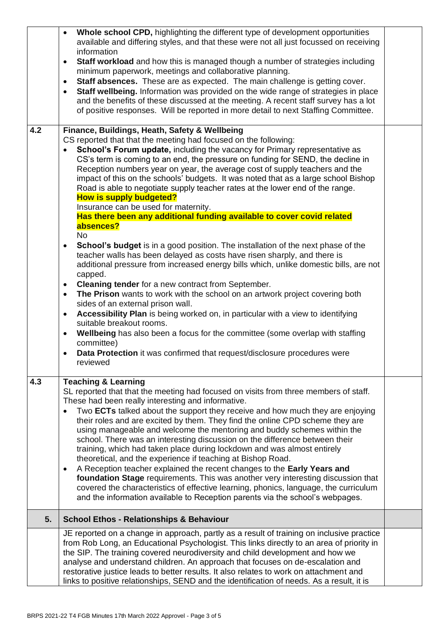|     | Whole school CPD, highlighting the different type of development opportunities<br>$\bullet$<br>available and differing styles, and that these were not all just focussed on receiving<br>information<br><b>Staff workload</b> and how this is managed though a number of strategies including<br>$\bullet$<br>minimum paperwork, meetings and collaborative planning.<br><b>Staff absences.</b> These are as expected. The main challenge is getting cover.<br>$\bullet$<br>Staff wellbeing. Information was provided on the wide range of strategies in place<br>$\bullet$<br>and the benefits of these discussed at the meeting. A recent staff survey has a lot<br>of positive responses. Will be reported in more detail to next Staffing Committee.                                                                                                                                                                                                                                                             |  |
|-----|----------------------------------------------------------------------------------------------------------------------------------------------------------------------------------------------------------------------------------------------------------------------------------------------------------------------------------------------------------------------------------------------------------------------------------------------------------------------------------------------------------------------------------------------------------------------------------------------------------------------------------------------------------------------------------------------------------------------------------------------------------------------------------------------------------------------------------------------------------------------------------------------------------------------------------------------------------------------------------------------------------------------|--|
| 4.2 | Finance, Buildings, Heath, Safety & Wellbeing<br>CS reported that that the meeting had focused on the following:<br>School's Forum update, including the vacancy for Primary representative as<br>$\bullet$<br>CS's term is coming to an end, the pressure on funding for SEND, the decline in<br>Reception numbers year on year, the average cost of supply teachers and the<br>impact of this on the schools' budgets. It was noted that as a large school Bishop<br>Road is able to negotiate supply teacher rates at the lower end of the range.<br><b>How is supply budgeted?</b><br>Insurance can be used for maternity.<br>Has there been any additional funding available to cover covid related<br>absences?<br><b>No</b><br><b>School's budget</b> is in a good position. The installation of the next phase of the<br>$\bullet$                                                                                                                                                                           |  |
|     | teacher walls has been delayed as costs have risen sharply, and there is<br>additional pressure from increased energy bills which, unlike domestic bills, are not<br>capped.<br>Cleaning tender for a new contract from September.<br>$\bullet$<br>The Prison wants to work with the school on an artwork project covering both<br>$\bullet$<br>sides of an external prison wall.<br>Accessibility Plan is being worked on, in particular with a view to identifying<br>$\bullet$<br>suitable breakout rooms.<br>Wellbeing has also been a focus for the committee (some overlap with staffing<br>$\bullet$<br>committee)<br>Data Protection it was confirmed that request/disclosure procedures were<br>$\bullet$<br>reviewed                                                                                                                                                                                                                                                                                       |  |
| 4.3 | <b>Teaching &amp; Learning</b><br>SL reported that that the meeting had focused on visits from three members of staff.<br>These had been really interesting and informative.<br>Two ECTs talked about the support they receive and how much they are enjoying<br>$\bullet$<br>their roles and are excited by them. They find the online CPD scheme they are<br>using manageable and welcome the mentoring and buddy schemes within the<br>school. There was an interesting discussion on the difference between their<br>training, which had taken place during lockdown and was almost entirely<br>theoretical, and the experience if teaching at Bishop Road.<br>A Reception teacher explained the recent changes to the Early Years and<br>$\bullet$<br>foundation Stage requirements. This was another very interesting discussion that<br>covered the characteristics of effective learning, phonics, language, the curriculum<br>and the information available to Reception parents via the school's webpages. |  |
| 5.  | <b>School Ethos - Relationships &amp; Behaviour</b>                                                                                                                                                                                                                                                                                                                                                                                                                                                                                                                                                                                                                                                                                                                                                                                                                                                                                                                                                                  |  |
|     | JE reported on a change in approach, partly as a result of training on inclusive practice<br>from Rob Long, an Educational Psychologist. This links directly to an area of priority in<br>the SIP. The training covered neurodiversity and child development and how we<br>analyse and understand children. An approach that focuses on de-escalation and<br>restorative justice leads to better results. It also relates to work on attachment and<br>links to positive relationships, SEND and the identification of needs. As a result, it is                                                                                                                                                                                                                                                                                                                                                                                                                                                                     |  |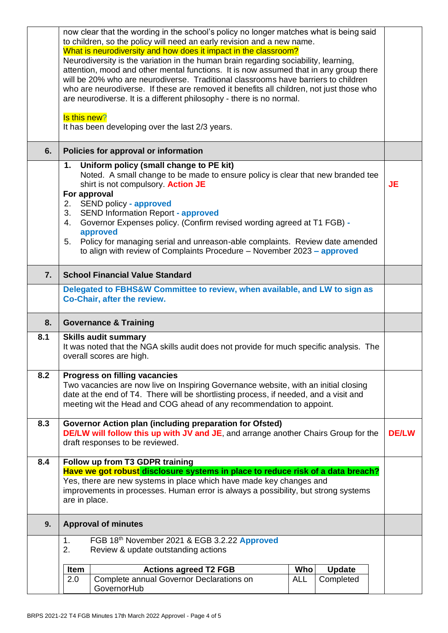|     | now clear that the wording in the school's policy no longer matches what is being said<br>to children, so the policy will need an early revision and a new name.                                                                                                                                                                                                                                                                                                                                         |              |  |
|-----|----------------------------------------------------------------------------------------------------------------------------------------------------------------------------------------------------------------------------------------------------------------------------------------------------------------------------------------------------------------------------------------------------------------------------------------------------------------------------------------------------------|--------------|--|
|     | What is neurodiversity and how does it impact in the classroom?<br>Neurodiversity is the variation in the human brain regarding sociability, learning,<br>attention, mood and other mental functions. It is now assumed that in any group there<br>will be 20% who are neurodiverse. Traditional classrooms have barriers to children<br>who are neurodiverse. If these are removed it benefits all children, not just those who<br>are neurodiverse. It is a different philosophy - there is no normal. |              |  |
|     | Is this new?<br>It has been developing over the last 2/3 years.                                                                                                                                                                                                                                                                                                                                                                                                                                          |              |  |
| 6.  | Policies for approval or information                                                                                                                                                                                                                                                                                                                                                                                                                                                                     |              |  |
|     | Uniform policy (small change to PE kit)<br>1.<br>Noted. A small change to be made to ensure policy is clear that new branded tee<br>shirt is not compulsory. Action JE<br><b>JE</b><br>For approval<br>2. SEND policy - approved<br><b>SEND Information Report - approved</b><br>3.                                                                                                                                                                                                                      |              |  |
|     | Governor Expenses policy. (Confirm revised wording agreed at T1 FGB) -<br>4.<br>approved<br>Policy for managing serial and unreason-able complaints. Review date amended<br>5.<br>to align with review of Complaints Procedure - November 2023 - approved                                                                                                                                                                                                                                                |              |  |
| 7.  | <b>School Financial Value Standard</b>                                                                                                                                                                                                                                                                                                                                                                                                                                                                   |              |  |
|     | Delegated to FBHS&W Committee to review, when available, and LW to sign as<br>Co-Chair, after the review.                                                                                                                                                                                                                                                                                                                                                                                                |              |  |
|     | <b>Governance &amp; Training</b>                                                                                                                                                                                                                                                                                                                                                                                                                                                                         |              |  |
| 8.  |                                                                                                                                                                                                                                                                                                                                                                                                                                                                                                          |              |  |
| 8.1 | <b>Skills audit summary</b><br>It was noted that the NGA skills audit does not provide for much specific analysis. The<br>overall scores are high.                                                                                                                                                                                                                                                                                                                                                       |              |  |
| 8.2 | <b>Progress on filling vacancies</b><br>Two vacancies are now live on Inspiring Governance website, with an initial closing<br>date at the end of T4. There will be shortlisting process, if needed, and a visit and<br>meeting wit the Head and COG ahead of any recommendation to appoint.                                                                                                                                                                                                             |              |  |
| 8.3 | Governor Action plan (including preparation for Ofsted)<br><b>DE/LW will follow this up with JV and JE</b> , and arrange another Chairs Group for the<br>draft responses to be reviewed.                                                                                                                                                                                                                                                                                                                 | <b>DE/LW</b> |  |
| 8.4 | Follow up from T3 GDPR training                                                                                                                                                                                                                                                                                                                                                                                                                                                                          |              |  |
|     | Have we got robust disclosure systems in place to reduce risk of a data breach?<br>Yes, there are new systems in place which have made key changes and<br>improvements in processes. Human error is always a possibility, but strong systems<br>are in place.                                                                                                                                                                                                                                            |              |  |
| 9.  | <b>Approval of minutes</b>                                                                                                                                                                                                                                                                                                                                                                                                                                                                               |              |  |
|     | FGB 18th November 2021 & EGB 3.2.22 Approved<br>1.<br>Review & update outstanding actions<br>2.                                                                                                                                                                                                                                                                                                                                                                                                          |              |  |